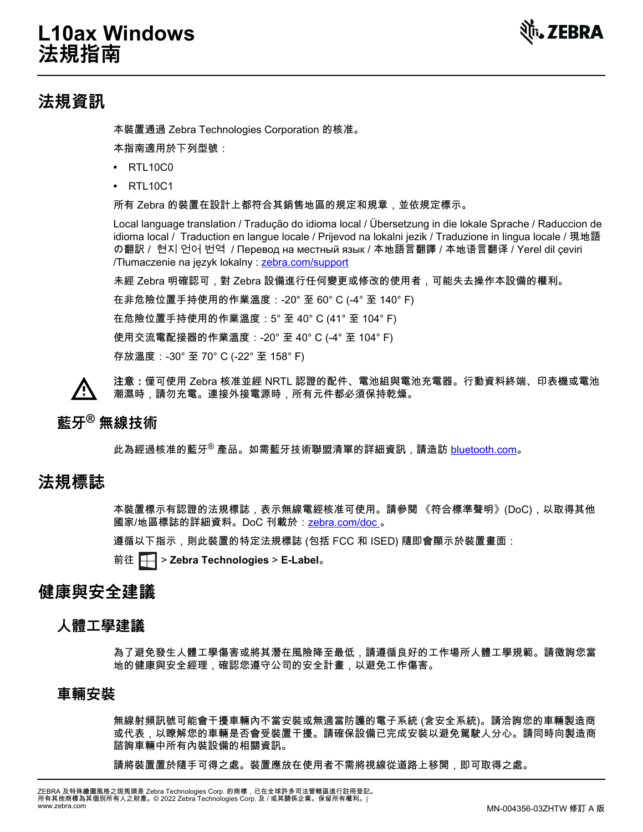

# **法規資訊**

本裝置通過 Zebra Technologies Corporation 的核准。

本指南適用於下列型號:

- RTL10C0
- **•** RTL10C1

所有 Zebra 的裝置在設計上都符合其銷售地區的規定和規章,並依規定標示。

Local language translation / Tradução do idioma local / Übersetzung in die lokale Sprache / Raduccion de idioma local / Traduction en langue locale / Prijevod na lokalni jezik / Traduzione in lingua locale / 現地語 の翻訳 / 현지 언어 번역 / Перевод на местный язык / 本地語言翻譯 / 本地语言翻译 / Yerel dil çeviri /Tłumaczenie na język lokalny : [zebra.com/support](http://www.zebra.com/support)

未經 Zebra 明確認可,對 Zebra 設備進行任何變更或修改的使用者,可能失去操作本設備的權利。

在非危險位置手持使用的作業溫度:-20° 至 60° C (-4° 至 140° F)

在危險位置手持使用的作業溫度:5° 至 40° C (41° 至 104° F)

使用交流電配接器的作業溫度:-20° 至 40° C (-4° 至 104° F)

存放溫度:-30° 至 70° C (-22° 至 158° F)

**注意:**僅可使用 Zebra 核准並經 NRTL 認證的配件、電池組與電池充電器。行動資料終端、印表機或電池 潮濕時,請勿充電。連接外接電源時,所有元件都必須保持乾燥。

## **藍牙® 無線技術**

此為經過核准的藍牙<sup>®</sup> 產品。如需藍牙技術聯盟清單的詳細資訊,請造訪 <u>bluetooth.com</u>。

# **法規標誌**

本裝置標示有認證的法規標誌,表示無線電經核准可使用。請參閱 《符合標準聲明》(DoC),以取得其他 國家/地區標誌的詳細資料。DoC 刊載於:[zebra.com/doc 。](http://www.zebra.com/doc)

遵循以下指示,則此裝置的特定法規標誌 (包括 FCC 和 ISED) 隨即會顯示於裝置畫面:

前往 > **Zebra Technologies** > **E-Label**。

## **健康與安全建議**

## **人體工學建議**

為了避免發生人體工學傷害或將其潛在風險降至最低,請遵循良好的工作場所人體工學規範。請徵詢您當 地的健康與安全經理,確認您遵守公司的安全計畫,以避免工作傷害。

### **車輛安裝**

無線射頻訊號可能會干擾車輛內不當安裝或無適當防護的電子系統 (含安全系統)。請洽詢您的車輛製造商 或代表,以瞭解您的車輛是否會受裝置干擾。請確保設備已完成安裝以避免駕駛人分心。請同時向製造商 諮詢車輛中所有內裝設備的相關資訊。

請將裝置置於隨手可得之處。裝置應放在使用者不需將視線從道路上移開,即可取得之處。

ZEBRA 及特殊繪圖風格之斑馬頭是 Zebra Technologies Corp. 的商標,已在全球許多司法管轄區進行註冊登記。 所有其他商標為其個別所有人之財產。© 2022 Zebra Technologies Corp. 及 / 或其關係企業。保留所有權利。 |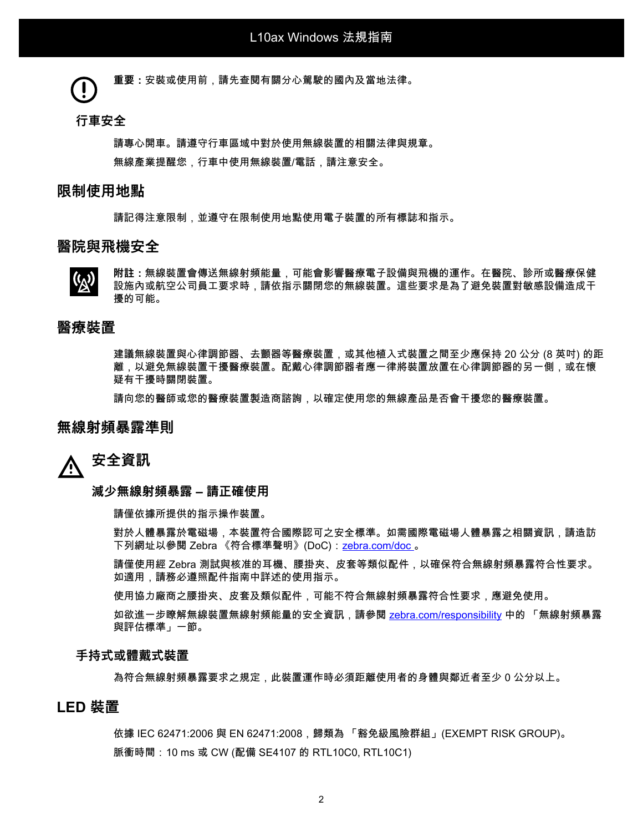**重要:**安裝或使用前,請先查閱有關分心駕駛的國內及當地法律。

#### **行車安全**

請專心開車。請遵守行車區域中對於使用無線裝置的相關法律與規章。 無線產業提醒您,行車中使用無線裝置/電話,請注意安全。

### **限制使用地點**

請記得注意限制,並遵守在限制使用地點使用電子裝置的所有標誌和指示。

### **醫院與飛機安全**



**附註:**無線裝置會傳送無線射頻能量,可能會影響醫療電子設備與飛機的運作。在醫院、診所或醫療保健 設施內或航空公司員工要求時,請依指示關閉您的無線裝置。這些要求是為了避免裝置對敏感設備造成干 擾的可能。

### **醫療裝置**

建議無線裝置與心律調節器、去顫器等醫療裝置,或其他植入式裝置之間至少應保持 20 公分 (8 英吋) 的距 離,以避免無線裝置干擾醫療裝置。配戴心律調節器者應一律將裝置放置在心律調節器的另一側,或在懷 疑有干擾時關閉裝置。

請向您的醫師或您的醫療裝置製造商諮詢,以確定使用您的無線產品是否會干擾您的醫療裝置。

### **無線射頻暴露準則**

#### **安全資訊** Λ

#### **減少無線射頻暴露 – 請正確使用**

請僅依據所提供的指示操作裝置。

對於人體暴露於電磁場,本裝置符合國際認可之安全標準。如需國際電磁場人體暴露之相關資訊,請造訪 下列網址以參閱 Zebra 《符合標準聲明》(DoC):[zebra.com/doc](http://www.zebra.com/doc) 。

請僅使用經 Zebra 測試與核准的耳機、腰掛夾、皮套等類似配件,以確保符合無線射頻暴露符合性要求。 如適用,請務必遵照配件指南中詳述的使用指示。

使用協力廠商之腰掛夾、皮套及類似配件,可能不符合無線射頻暴露符合性要求,應避免使用。

如欲進一步瞭解無線裝置無線射頻能量的安全資訊,請參閱 [zebra.com/responsibility](https://www.zebra.com/responsibility) 中的 「無線射頻暴露 與評估標準」一節。

#### **手持式或體戴式裝置**

為符合無線射頻暴露要求之規定,此裝置運作時必須距離使用者的身體與鄰近者至少 0 公分以上。

### **LED 裝置**

依據 IEC 62471:2006 與 EN 62471:2008,歸類為 「豁免級風險群組」(EXEMPT RISK GROUP)。 脈衝時間: 10 ms 或 CW (配備 SE4107 的 RTL10C0, RTL10C1)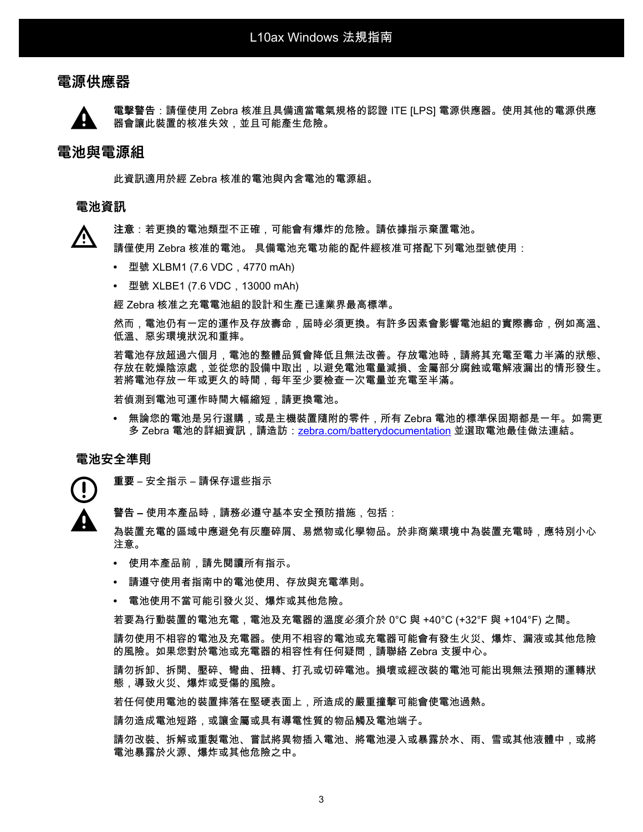### **電源供應器**



**電擊警告**:請僅使用 Zebra 核准且具備適當電氣規格的認證 ITE [LPS] 電源供應器。使用其他的電源供應 器會讓此裝置的核准失效,並且可能產生危險。

### **電池與電源組**

此資訊適用於經 Zebra 核准的電池與內含電池的電源組。

#### **電池資訊**

**注意**:若更換的電池類型不正確,可能會有爆炸的危險。請依據指示棄置電池。

請僅使用 Zebra 核准的電池。 具備電池充電功能的配件經核准可搭配下列電池型號使用:

- **•** 型號 XLBM1 (7.6 VDC,4770 mAh)
- **•** 型號 XLBE1 (7.6 VDC,13000 mAh)

經 Zebra 核准之充電電池組的設計和生產已達業界最高標準。

然而,電池仍有一定的運作及存放壽命,屆時必須更換。有許多因素會影響電池組的實際壽命,例如高溫、 低溫、惡劣環境狀況和重摔。

若電池存放超過六個月,電池的整體品質會降低且無法改善。存放電池時,請將其充電至電力半滿的狀態、 存放在乾燥陰涼處,並從您的設備中取出,以避免電池電量減損、金屬部分腐蝕或電解液漏出的情形發生。 若將電池存放一年或更久的時間,每年至少要檢查一次電量並充電至半滿。

若偵測到電池可運作時間大幅縮短,請更換電池。

**•** 無論您的電池是另行選購,或是主機裝置隨附的零件,所有 Zebra 電池的標準保固期都是一年。如需更 多 Zebra 電池的詳細資訊,請造訪:<u>zebra.com/batterydocumentation</u> 並選取電池最佳做法連結。

#### **電池安全準則**

**重要** – 安全指示 – 請保存這些指示

**警告 –** 使用本產品時,請務必遵守基本安全預防措施,包括:

為裝置充電的區域中應避免有灰塵碎屑、易燃物或化學物品。於非商業環境中為裝置充電時,應特別小心 注意。

- **•** 使用本產品前,請先閱讀所有指示。
- **•** 請遵守使用者指南中的電池使用、存放與充電準則。
- **•** 電池使用不當可能引發火災、爆炸或其他危險。

若要為行動裝置的電池充電,電池及充電器的溫度必須介於 0°C 與 +40°C (+32°F 與 +104°F) 之間。

請勿使用不相容的電池及充電器。使用不相容的電池或充電器可能會有發生火災、爆炸、漏液或其他危險 的風險。如果您對於電池或充電器的相容性有任何疑問,請聯絡 Zebra 支援中心。

請勿拆卸、拆開、壓碎、彎曲、扭轉、打孔或切碎電池。損壞或經改裝的電池可能出現無法預期的運轉狀 態,導致火災、爆炸或受傷的風險。

若任何使用電池的裝置摔落在堅硬表面上,所造成的嚴重撞擊可能會使電池過熱。

請勿造成電池短路,或讓金屬或具有導電性質的物品觸及電池端子。

請勿改裝、拆解或重製電池、嘗試將異物插入電池、將電池浸入或暴露於水、雨、雪或其他液體中,或將 電池暴露於火源、爆炸或其他危險之中。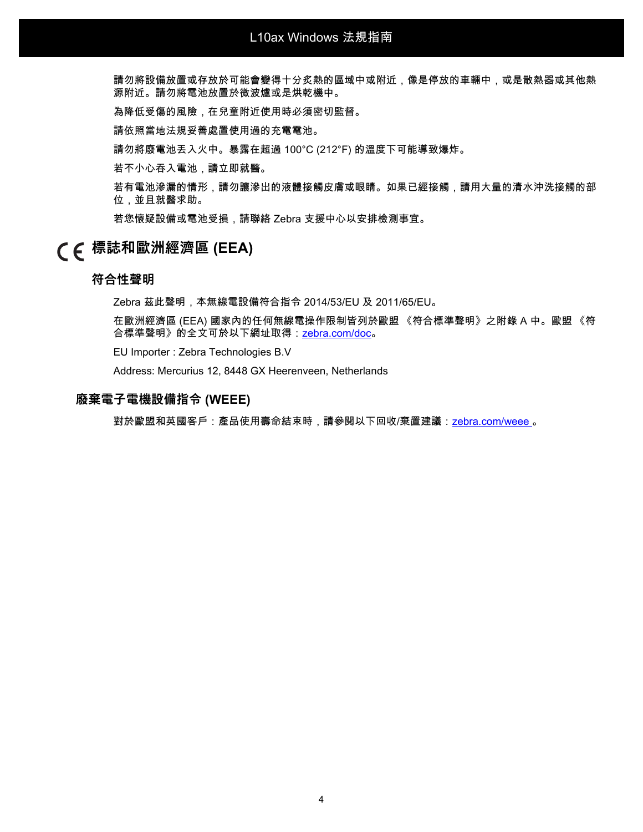請勿將設備放置或存放於可能會變得十分炙熱的區域中或附近,像是停放的車輛中,或是散熱器或其他熱 源附近。請勿將電池放置於微波爐或是烘乾機中。

為降低受傷的風險,在兒童附近使用時必須密切監督。

請依照當地法規妥善處置使用過的充電電池。

請勿將廢電池丟入火中。暴露在超過 100°C (212°F) 的溫度下可能導致爆炸。

若不小心吞入電池,請立即就醫。

若有電池滲漏的情形,請勿讓滲出的液體接觸皮膚或眼睛。如果已經接觸,請用大量的清水沖洗接觸的部 位,並且就醫求助。

若您懷疑設備或電池受損,請聯絡 Zebra 支援中心以安排檢測事宜。

# **標誌和歐洲經濟區 (EEA)**

#### **符合性聲明**

Zebra 茲此聲明,本無線電設備符合指令 2014/53/EU 及 2011/65/EU。

在歐洲經濟區 (EEA) 國家內的任何無線電操作限制皆列於歐盟 《符合標準聲明》之附錄 A 中。歐盟 《符 合標準聲明》的全文可於以下網址取得:zebra.com/doc。

EU Importer : Zebra Technologies B.V

Address: Mercurius 12, 8448 GX Heerenveen, Netherlands

#### **廢棄電子電機設備指令 (WEEE)**

對於歐盟和英國客戶:產品使用壽命結束時,請參閱以下回收/棄置建議:[zebra.com/weee 。](https://www.zebra.com/weee)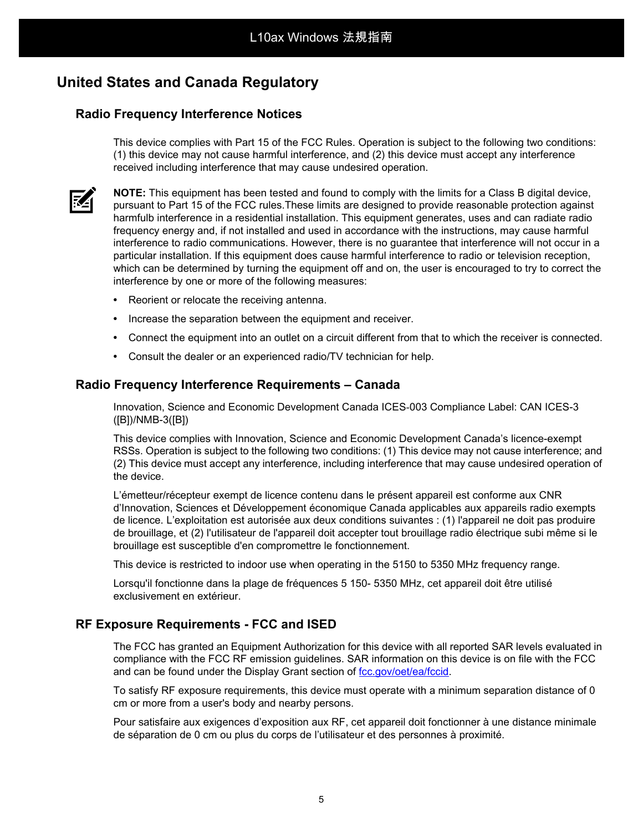# **United States and Canada Regulatory**

### **Radio Frequency Interference Notices**

This device complies with Part 15 of the FCC Rules. Operation is subject to the following two conditions: (1) this device may not cause harmful interference, and (2) this device must accept any interference received including interference that may cause undesired operation.



**NOTE:** This equipment has been tested and found to comply with the limits for a Class B digital device, pursuant to Part 15 of the FCC rules.These limits are designed to provide reasonable protection against harmfulb interference in a residential installation. This equipment generates, uses and can radiate radio frequency energy and, if not installed and used in accordance with the instructions, may cause harmful interference to radio communications. However, there is no guarantee that interference will not occur in a particular installation. If this equipment does cause harmful interference to radio or television reception, which can be determined by turning the equipment off and on, the user is encouraged to try to correct the interference by one or more of the following measures:

- **•** Reorient or relocate the receiving antenna.
- **•** Increase the separation between the equipment and receiver.
- **•** Connect the equipment into an outlet on a circuit different from that to which the receiver is connected.
- **•** Consult the dealer or an experienced radio/TV technician for help.

### **Radio Frequency Interference Requirements – Canada**

Innovation, Science and Economic Development Canada ICES-003 Compliance Label: CAN ICES-3 ([B])/NMB-3([B])

This device complies with Innovation, Science and Economic Development Canada's licence-exempt RSSs. Operation is subject to the following two conditions: (1) This device may not cause interference; and (2) This device must accept any interference, including interference that may cause undesired operation of the device.

L'émetteur/récepteur exempt de licence contenu dans le présent appareil est conforme aux CNR d'Innovation, Sciences et Développement économique Canada applicables aux appareils radio exempts de licence. L'exploitation est autorisée aux deux conditions suivantes : (1) l'appareil ne doit pas produire de brouillage, et (2) l'utilisateur de l'appareil doit accepter tout brouillage radio électrique subi même si le brouillage est susceptible d'en compromettre le fonctionnement.

This device is restricted to indoor use when operating in the 5150 to 5350 MHz frequency range.

Lorsqu'il fonctionne dans la plage de fréquences 5 150- 5350 MHz, cet appareil doit être utilisé exclusivement en extérieur.

### **RF Exposure Requirements - FCC and ISED**

The FCC has granted an Equipment Authorization for this device with all reported SAR levels evaluated in compliance with the FCC RF emission guidelines. SAR information on this device is on file with the FCC and can be found under the Display Grant section of [fcc.gov/oet/ea/fccid](http://www.fcc.gov/oet/ea/fccid).

To satisfy RF exposure requirements, this device must operate with a minimum separation distance of 0 cm or more from a user's body and nearby persons.

Pour satisfaire aux exigences d'exposition aux RF, cet appareil doit fonctionner à une distance minimale de séparation de 0 cm ou plus du corps de l'utilisateur et des personnes à proximité.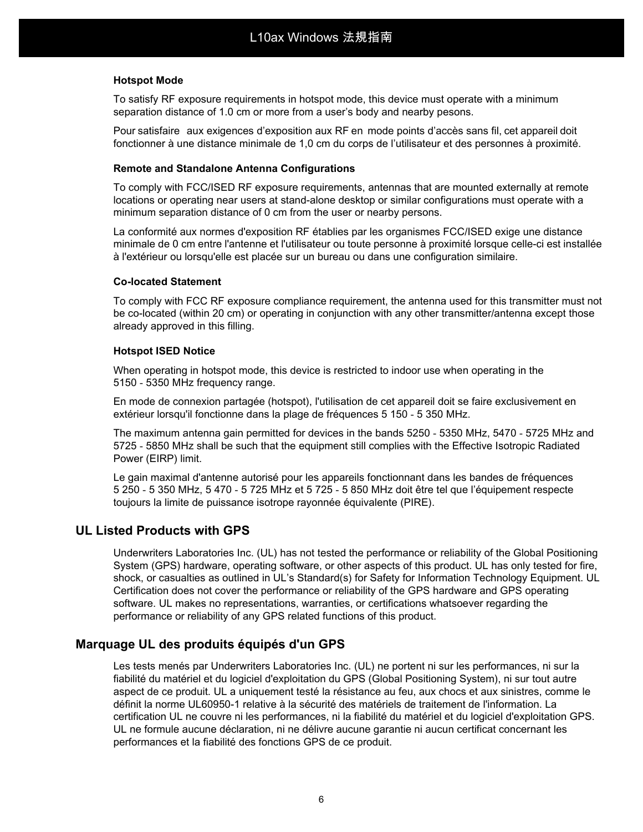#### **Hotspot Mode**

To satisfy RF exposure requirements in hotspot mode, this device must operate with a minimum separation distance of 1.0 cm or more from a user's body and nearby pesons.

Pour satisfaire aux exigences d'exposition aux RF en mode points d'accès sans fil, cet appareil doit fonctionner à une distance minimale de 1,0 cm du corps de l'utilisateur et des personnes à proximité.

#### **Remote and Standalone Antenna Configurations**

To comply with FCC/ISED RF exposure requirements, antennas that are mounted externally at remote locations or operating near users at stand-alone desktop or similar configurations must operate with a minimum separation distance of 0 cm from the user or nearby persons.

La conformité aux normes d'exposition RF établies par les organismes FCC/ISED exige une distance minimale de 0 cm entre l'antenne et l'utilisateur ou toute personne à proximité lorsque celle-ci est installée à l'extérieur ou lorsqu'elle est placée sur un bureau ou dans une configuration similaire.

#### **Co-located Statement**

To comply with FCC RF exposure compliance requirement, the antenna used for this transmitter must not be co-located (within 20 cm) or operating in conjunction with any other transmitter/antenna except those already approved in this filling.

#### **Hotspot ISED Notice**

When operating in hotspot mode, this device is restricted to indoor use when operating in the 5150 - 5350 MHz frequency range.

En mode de connexion partagée (hotspot), l'utilisation de cet appareil doit se faire exclusivement en extérieur lorsqu'il fonctionne dans la plage de fréquences 5 150 - 5 350 MHz.

The maximum antenna gain permitted for devices in the bands 5250 - 5350 MHz, 5470 - 5725 MHz and 5725 - 5850 MHz shall be such that the equipment still complies with the Effective Isotropic Radiated Power (EIRP) limit.

Le gain maximal d'antenne autorisé pour les appareils fonctionnant dans les bandes de fréquences 5 250 - 5 350 MHz, 5 470 - 5 725 MHz et 5 725 - 5 850 MHz doit être tel que l'équipement respecte toujours la limite de puissance isotrope rayonnée équivalente (PIRE).

### **UL Listed Products with GPS**

Underwriters Laboratories Inc. (UL) has not tested the performance or reliability of the Global Positioning System (GPS) hardware, operating software, or other aspects of this product. UL has only tested for fire, shock, or casualties as outlined in UL's Standard(s) for Safety for Information Technology Equipment. UL Certification does not cover the performance or reliability of the GPS hardware and GPS operating software. UL makes no representations, warranties, or certifications whatsoever regarding the performance or reliability of any GPS related functions of this product.

### **Marquage UL des produits équipés d'un GPS**

Les tests menés par Underwriters Laboratories Inc. (UL) ne portent ni sur les performances, ni sur la fiabilité du matériel et du logiciel d'exploitation du GPS (Global Positioning System), ni sur tout autre aspect de ce produit. UL a uniquement testé la résistance au feu, aux chocs et aux sinistres, comme le définit la norme UL60950-1 relative à la sécurité des matériels de traitement de l'information. La certification UL ne couvre ni les performances, ni la fiabilité du matériel et du logiciel d'exploitation GPS. UL ne formule aucune déclaration, ni ne délivre aucune garantie ni aucun certificat concernant les performances et la fiabilité des fonctions GPS de ce produit.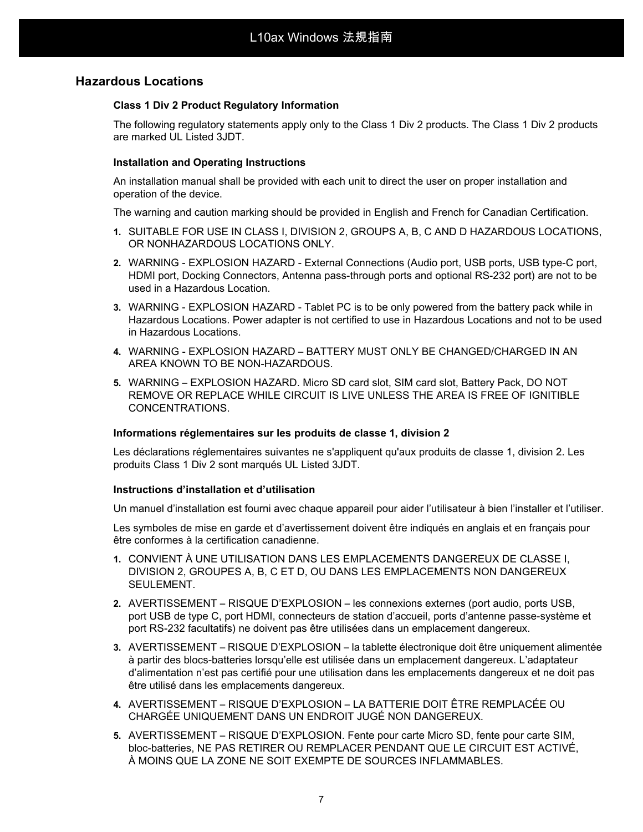### **Hazardous Locations**

#### **Class 1 Div 2 Product Regulatory Information**

The following regulatory statements apply only to the Class 1 Div 2 products. The Class 1 Div 2 products are marked UL Listed 3JDT.

#### **Installation and Operating Instructions**

An installation manual shall be provided with each unit to direct the user on proper installation and operation of the device.

The warning and caution marking should be provided in English and French for Canadian Certification.

- **1.** SUITABLE FOR USE IN CLASS I, DIVISION 2, GROUPS A, B, C AND D HAZARDOUS LOCATIONS, OR NONHAZARDOUS LOCATIONS ONLY.
- **2.** WARNING EXPLOSION HAZARD External Connections (Audio port, USB ports, USB type-C port, HDMI port, Docking Connectors, Antenna pass-through ports and optional RS-232 port) are not to be used in a Hazardous Location.
- **3.** WARNING EXPLOSION HAZARD Tablet PC is to be only powered from the battery pack while in Hazardous Locations. Power adapter is not certified to use in Hazardous Locations and not to be used in Hazardous Locations.
- **4.** WARNING EXPLOSION HAZARD BATTERY MUST ONLY BE CHANGED/CHARGED IN AN AREA KNOWN TO BE NON-HAZARDOUS.
- **5.** WARNING EXPLOSION HAZARD. Micro SD card slot, SIM card slot, Battery Pack, DO NOT REMOVE OR REPLACE WHILE CIRCUIT IS LIVE UNLESS THE AREA IS FREE OF IGNITIBLE CONCENTRATIONS.

#### **Informations réglementaires sur les produits de classe 1, division 2**

Les déclarations réglementaires suivantes ne s'appliquent qu'aux produits de classe 1, division 2. Les produits Class 1 Div 2 sont marqués UL Listed 3JDT.

#### **Instructions d'installation et d'utilisation**

Un manuel d'installation est fourni avec chaque appareil pour aider l'utilisateur à bien l'installer et l'utiliser.

Les symboles de mise en garde et d'avertissement doivent être indiqués en anglais et en français pour être conformes à la certification canadienne.

- **1.** CONVIENT À UNE UTILISATION DANS LES EMPLACEMENTS DANGEREUX DE CLASSE I, DIVISION 2, GROUPES A, B, C ET D, OU DANS LES EMPLACEMENTS NON DANGEREUX SEULEMENT.
- **2.** AVERTISSEMENT RISQUE D'EXPLOSION les connexions externes (port audio, ports USB, port USB de type C, port HDMI, connecteurs de station d'accueil, ports d'antenne passe-système et port RS-232 facultatifs) ne doivent pas être utilisées dans un emplacement dangereux.
- **3.** AVERTISSEMENT RISQUE D'EXPLOSION la tablette électronique doit être uniquement alimentée à partir des blocs-batteries lorsqu'elle est utilisée dans un emplacement dangereux. L'adaptateur d'alimentation n'est pas certifié pour une utilisation dans les emplacements dangereux et ne doit pas être utilisé dans les emplacements dangereux.
- **4.** AVERTISSEMENT RISQUE D'EXPLOSION LA BATTERIE DOIT ÊTRE REMPLACÉE OU CHARGÉE UNIQUEMENT DANS UN ENDROIT JUGÉ NON DANGEREUX.
- **5.** AVERTISSEMENT RISQUE D'EXPLOSION. Fente pour carte Micro SD, fente pour carte SIM, bloc-batteries, NE PAS RETIRER OU REMPLACER PENDANT QUE LE CIRCUIT EST ACTIVÉ, À MOINS QUE LA ZONE NE SOIT EXEMPTE DE SOURCES INFLAMMABLES.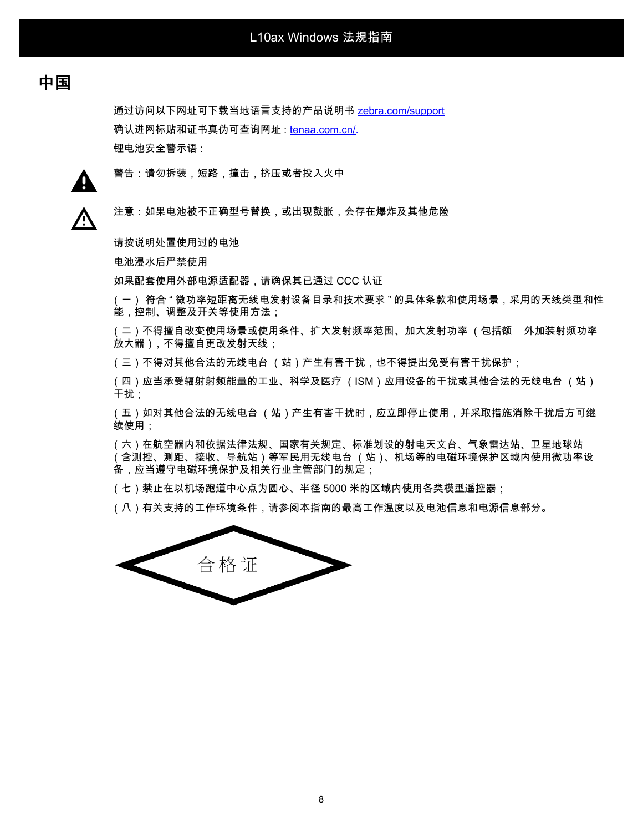# **中国**

通过访问以下网址可下载当地语言支持的产品说明书 [zebra.com/support](http://www.zebra.com/support) 确认进网标贴和证书真伪可查询网址 : [tenaa.com.cn/.](https://www.teena.com.cn/) 锂电池安全警示语 :



警告:请勿拆装,短路,撞击,挤压或者投入火中

⁄^

注意:如果电池被不正确型号替换,或出现鼓胀,会存在爆炸及其他危险

请按说明处置使用过的电池

电池浸水后严禁使用

如果配套使用外部电源适配器,请确保其已通过 CCC 认证

(一) 符合 " 微功率短距离无线电发射设备目录和技术要求 " 的具体条款和使用场景,采用的天线类型和性 能,控制、调整及开关等使用方法;

(二)不得擅自改变使用场景或使用条件、扩大发射频率范围、加大发射功率 (包括额 外加装射频功率 放大器),不得擅自更改发射天线;

(三)不得对其他合法的无线电台 (站)产生有害干扰,也不得提出免受有害干扰保护;

(四)应当承受辐射射频能量的工业、科学及医疗 (ISM)应用设备的干扰或其他合法的无线电台 (站) 干扰;

(五)如对其他合法的无线电台 (站)产生有害干扰时,应立即停止使用,并采取措施消除干扰后方可继 续使用;

(六)在航空器内和依据法律法规、国家有关规定、标准划设的射电天文台、气象雷达站、卫星地球站 (含测控、测距、接收、导航站)等军民用无线电台 (站)、机场等的电磁环境保护区域内使用微功率设 备,应当遵守电磁环境保护及相关行业主管部门的规定;

(七)禁止在以机场跑道中心点为圆心、半径 5000 米的区域内使用各类模型遥控器;

(八)有关支持的工作环境条件,请参阅本指南的最高工作温度以及电池信息和电源信息部分。

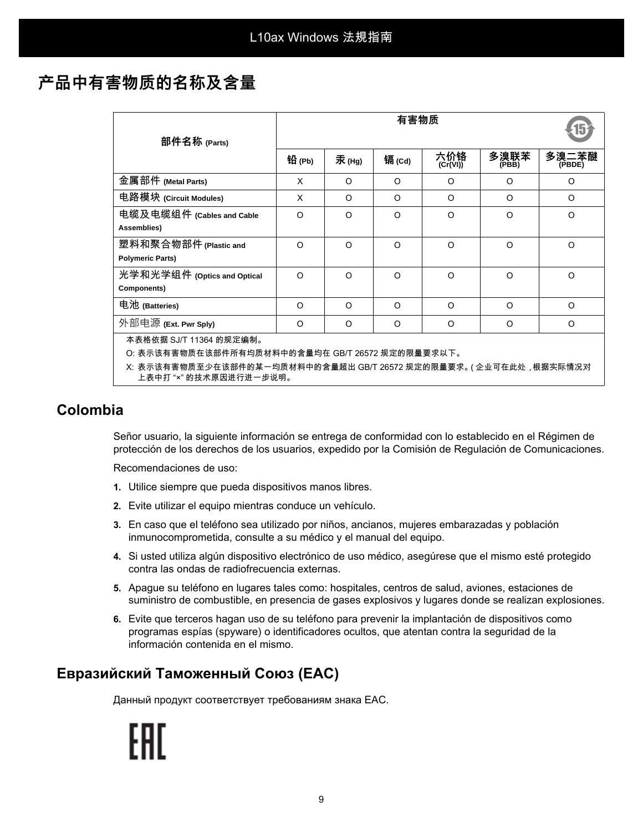# **产品中有害物质的名称及含量**

|                                                                                               | 有害物质     |          |          |                 |               |                 |  |  |
|-----------------------------------------------------------------------------------------------|----------|----------|----------|-----------------|---------------|-----------------|--|--|
| 部件名称 (Parts)                                                                                  | 铅 (Pb)   | 汞(Hg)    | 镉(Cd)    | 六价铬<br>(Cr(VI)) | 多溴联苯<br>(PBB) | 多溴二苯醚<br>(PBDE) |  |  |
| 金属部件 (Metal Parts)                                                                            | X        | O        | $\Omega$ | O               | O             | O               |  |  |
| 电路模块 (Circuit Modules)                                                                        | X        | $\Omega$ | $\Omega$ | $\Omega$        | $\Omega$      | $\circ$         |  |  |
| 电缆及电缆组件 (Cables and Cable<br>Assemblies)                                                      | $\Omega$ | $\Omega$ | $\Omega$ | $\Omega$        | O             | $\Omega$        |  |  |
| 塑料和聚合物部件 (Plastic and<br><b>Polymeric Parts)</b>                                              | $\Omega$ | $\Omega$ | $\Omega$ | $\Omega$        | $\Omega$      | $\circ$         |  |  |
| 光学和光学组件 (Optics and Optical<br>Components)                                                    | $\Omega$ | $\Omega$ | $\Omega$ | O               | O             | $\circ$         |  |  |
| 电池 (Batteries)                                                                                | $\Omega$ | $\Omega$ | $\Omega$ | $\Omega$        | $\Omega$      | $\Omega$        |  |  |
| 外部电源 (Ext. Pwr Sply)                                                                          | $\Omega$ | $\Omega$ | $\Omega$ | $\Omega$        | O             | $\Omega$        |  |  |
| 本表格依据 SJ/T 11364 的规定编制。                                                                       |          |          |          |                 |               |                 |  |  |
| O: 表示该有害物质在该部件所有均质材料中的含量均在 GB/T 26572 规定的限量要求以下。                                              |          |          |          |                 |               |                 |  |  |
| X: 表示该有害物质至少在该部件的某一均质材料中的含量超出 GB/T 26572 规定的限量要求。( 企业可在此处 , 根据实际情况对<br>上表中打 "×" 的技术原因进行进一步说明。 |          |          |          |                 |               |                 |  |  |

# **Colombia**

Señor usuario, la siguiente información se entrega de conformidad con lo establecido en el Régimen de protección de los derechos de los usuarios, expedido por la Comisión de Regulación de Comunicaciones.

Recomendaciones de uso:

- **1.** Utilice siempre que pueda dispositivos manos libres.
- **2.** Evite utilizar el equipo mientras conduce un vehículo.
- **3.** En caso que el teléfono sea utilizado por niños, ancianos, mujeres embarazadas y población inmunocomprometida, consulte a su médico y el manual del equipo.
- **4.** Si usted utiliza algún dispositivo electrónico de uso médico, asegúrese que el mismo esté protegido contra las ondas de radiofrecuencia externas.
- **5.** Apague su teléfono en lugares tales como: hospitales, centros de salud, aviones, estaciones de suministro de combustible, en presencia de gases explosivos y lugares donde se realizan explosiones.
- **6.** Evite que terceros hagan uso de su teléfono para prevenir la implantación de dispositivos como programas espías (spyware) o identificadores ocultos, que atentan contra la seguridad de la información contenida en el mismo.

# **Евразийский Таможенный Союз (EAC)**

Данный продукт соответствует требованиям знака EAC.

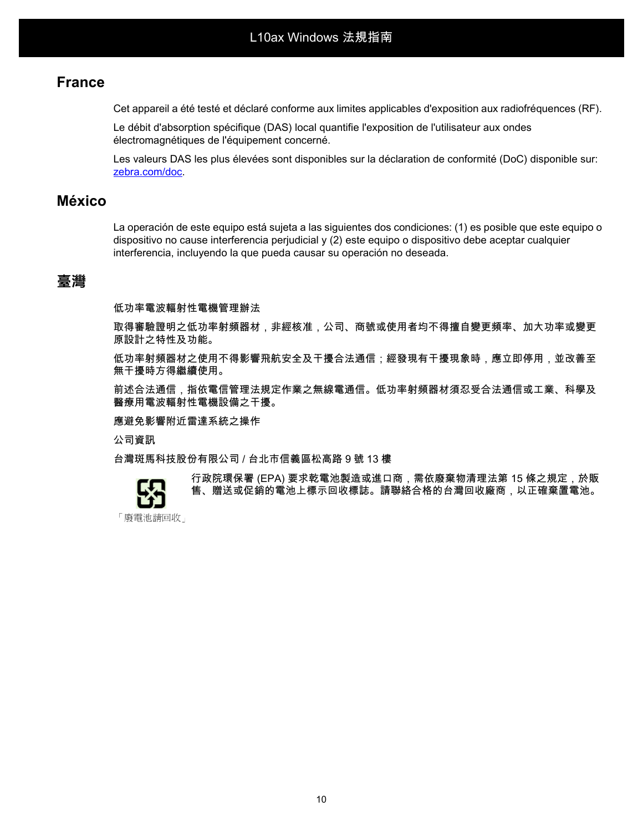## **France**

Cet appareil a été testé et déclaré conforme aux limites applicables d'exposition aux radiofréquences (RF).

Le débit d'absorption spécifique (DAS) local quantifie l'exposition de l'utilisateur aux ondes électromagnétiques de l'équipement concerné.

Les valeurs DAS les plus élevées sont disponibles sur la déclaration de conformité (DoC) disponible sur: [zebra.com/doc.](http://www.zebra.com/doc)

## **México**

La operación de este equipo está sujeta a las siguientes dos condiciones: (1) es posible que este equipo o dispositivo no cause interferencia perjudicial y (2) este equipo o dispositivo debe aceptar cualquier interferencia, incluyendo la que pueda causar su operación no deseada.

## **臺灣**

低功率電波輻射性電機管理辦法

取得審驗證明之低功率射頻器材,非經核准,公司、商號或使用者均不得擅自變更頻率、加大功率或變更 原設計之特性及功能。

低功率射頻器材之使用不得影響飛航安全及干擾合法通信;經發現有干擾現象時,應立即停用,並改善至 無干擾時方得繼續使用。

前述合法通信,指依電信管理法規定作業之無線電通信。低功率射頻器材須忍受合法通信或工業、科學及 醫療用電波輻射性電機設備之干擾。

應避免影響附近雷達系統之操作

公司資訊

台灣斑馬科技股份有限公司 / 台北市信義區松高路 9 號 13 樓



行政院環保署 (EPA) 要求乾電池製造或進口商,需依廢棄物清理法第 15 條之規定,於販 售、贈送或促銷的電池上標示回收標誌。請聯絡合格的台灣回收廠商,以正確棄置電池。

「廢電池請回收」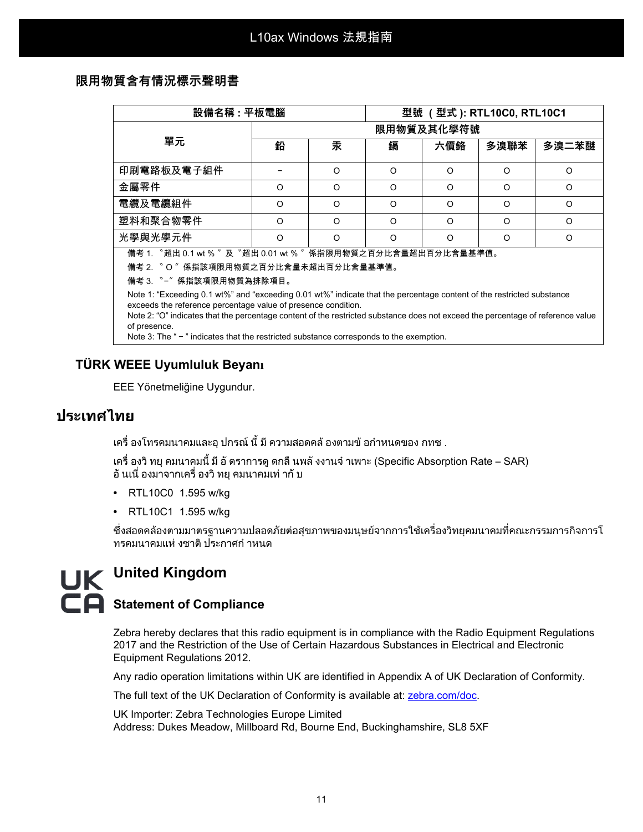### **限用物質含有情況標示聲明書**

| 設備名稱 : 平板電腦                                                                                                                                                                                                                                                                                                               |            |          | 型號 (型式): RTL10C0, RTL10C1 |          |      |          |  |  |  |
|---------------------------------------------------------------------------------------------------------------------------------------------------------------------------------------------------------------------------------------------------------------------------------------------------------------------------|------------|----------|---------------------------|----------|------|----------|--|--|--|
| 單元                                                                                                                                                                                                                                                                                                                        | 限用物質及其化學符號 |          |                           |          |      |          |  |  |  |
|                                                                                                                                                                                                                                                                                                                           | 鉛          | 汞        | 鎘                         | 六價鉻      | 多溴聯苯 | 多溴二苯醚    |  |  |  |
| 印刷電路板及電子組件                                                                                                                                                                                                                                                                                                                |            | $\Omega$ | $\Omega$                  | $\Omega$ | O    | O        |  |  |  |
| 金屬零件                                                                                                                                                                                                                                                                                                                      | $\circ$    | O        | O                         | $\Omega$ | O    | O        |  |  |  |
| 電纜及電纜組件                                                                                                                                                                                                                                                                                                                   | O          | O        | O                         | O        | O    | O        |  |  |  |
| 塑料和聚合物零件                                                                                                                                                                                                                                                                                                                  | $\Omega$   | O        | O                         | $\Omega$ | O    | $\Omega$ |  |  |  |
| 光學與光學元件                                                                                                                                                                                                                                                                                                                   | $\Omega$   | O        | $\circ$                   | $\Omega$ | O    | O        |  |  |  |
| 備考 1. "超出 0.1 wt %"及 "超出 0.01 wt %"係指限用物質之百分比含量超出百分比含量基準值。<br>備考 2. 〝O〞係指該項限用物質之百分比含量未超出百分比含量基準值。                                                                                                                                                                                                                         |            |          |                           |          |      |          |  |  |  |
| Note 1: "Exceeding 0.1 wt%" and "exceeding 0.01 wt%" indicate that the percentage content of the restricted substance<br>exceeds the reference percentage value of presence condition.<br>Note 2: "O" indicates that the percentage content of the restricted substance does not exceed the percentage of reference value |            |          |                           |          |      |          |  |  |  |

Note 2: "O" indicates that the percentage content of the restricted substance does not exceed the percentage of reference value of presence.

Note 3: The " - " indicates that the restricted substance corresponds to the exemption.

### **TÜRK WEEE Uyumluluk Beyanı**

EEE Yönetmeliğine Uygundur.

# **ประเทศไทย**

ี เครื่ องโทรคมนาคมและอุ ปกรณ์ นี้ มี ความสอดคล้ องตามข้ อกำหนดของ กทช .

เครื่ องวิทยุคมนาคมนี้มีอัตราการดูดกลืนพลังงานจําเพาะ (Specific Absorption Rate – SAR) ้อั นเนื่ องมาจากเครื่ องวิ ทย คมนาคมเท่ ากั บ

- **•** RTL10C0 1.595 w/kg
- **•** RTL10C1 1.595 w/kg

ซึ่งสอดคลองตามมาตรฐานความปลอดภัยตอสุขภาพของมนุษยจากการใชเครื่องวิทยุคมนาคมที่คณะกรรมการกิจการโ ทรคมนาคมแห งชาติประกาศกําหนด

# **United Kingdom E** Statement of Compliance

Zebra hereby declares that this radio equipment is in compliance with the Radio Equipment Regulations 2017 and the Restriction of the Use of Certain Hazardous Substances in Electrical and Electronic Equipment Regulations 2012.

Any radio operation limitations within UK are identified in Appendix A of UK Declaration of Conformity.

[The full text of the UK Declaration of Conformity is available at:](http://www.zebra.com/doc) zebra.com/doc.

UK Importer: Zebra Technologies Europe Limited Address: Dukes Meadow, Millboard Rd, Bourne End, Buckinghamshire, SL8 5XF